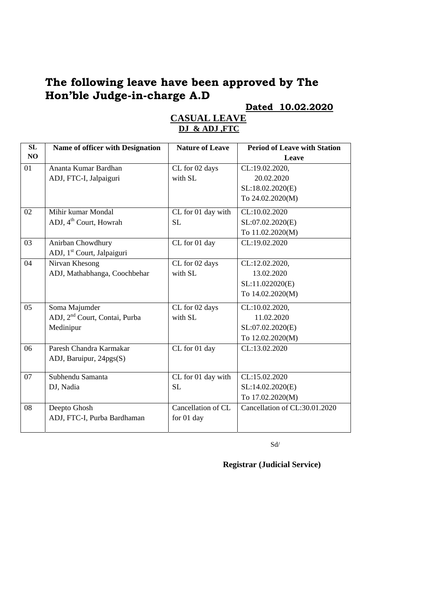### **The following leave have been approved by The Hon'ble Judge-in-charge A.D**

**Dated 10.02.2020** 

| SL | Name of officer with Designation          | <b>Nature of Leave</b> | <b>Period of Leave with Station</b> |
|----|-------------------------------------------|------------------------|-------------------------------------|
| NO |                                           |                        | Leave                               |
| 01 | Ananta Kumar Bardhan                      | CL for 02 days         | CL:19.02.2020,                      |
|    | ADJ, FTC-I, Jalpaiguri                    | with SL                | 20.02.2020                          |
|    |                                           |                        | SL:18.02.2020(E)                    |
|    |                                           |                        | To 24.02.2020(M)                    |
| 02 | Mihir kumar Mondal                        | CL for 01 day with     | CL:10.02.2020                       |
|    | ADJ, 4 <sup>th</sup> Court, Howrah        | <b>SL</b>              | SL:07.02.2020(E)                    |
|    |                                           |                        | To 11.02.2020(M)                    |
| 03 | Anirban Chowdhury                         | CL for 01 day          | CL:19.02.2020                       |
|    | ADJ, 1 <sup>st</sup> Court, Jalpaiguri    |                        |                                     |
| 04 | Nirvan Khesong                            | CL for 02 days         | CL:12.02.2020,                      |
|    | ADJ, Mathabhanga, Coochbehar              | with SL                | 13.02.2020                          |
|    |                                           |                        | SL:11.022020(E)                     |
|    |                                           |                        | To 14.02.2020(M)                    |
| 05 | Soma Majumder                             | CL for 02 days         | CL:10.02.2020,                      |
|    | ADJ, 2 <sup>nd</sup> Court, Contai, Purba | with SL                | 11.02.2020                          |
|    | Medinipur                                 |                        | SL:07.02.2020(E)                    |
|    |                                           |                        | To 12.02.2020(M)                    |
| 06 | Paresh Chandra Karmakar                   | CL for 01 day          | CL:13.02.2020                       |
|    | ADJ, Baruipur, 24pgs(S)                   |                        |                                     |
| 07 | Subhendu Samanta                          | CL for 01 day with     | CL:15.02.2020                       |
|    |                                           | SL                     |                                     |
|    | DJ, Nadia                                 |                        | SL:14.02.2020(E)                    |
|    |                                           |                        | To 17.02.2020(M)                    |
| 08 | Deepto Ghosh                              | Cancellation of CL     | Cancellation of CL:30.01.2020       |
|    | ADJ, FTC-I, Purba Bardhaman               | for 01 day             |                                     |
|    |                                           |                        |                                     |

#### **CASUAL LEAVE DJ & ADJ ,FTC**

Sd/

**Registrar (Judicial Service)**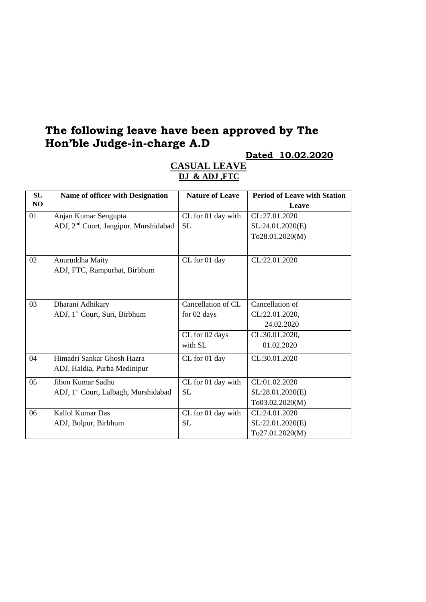### **The following leave have been approved by The Hon'ble Judge-in-charge A.D**

**Dated 10.02.2020** 

| <b>SL</b> | <b>Name of officer with Designation</b>           | <b>Nature of Leave</b> | <b>Period of Leave with Station</b> |
|-----------|---------------------------------------------------|------------------------|-------------------------------------|
| NO        |                                                   |                        | Leave                               |
| 01        | Anjan Kumar Sengupta                              | CL for 01 day with     | CL:27.01.2020                       |
|           | ADJ, 2 <sup>nd</sup> Court, Jangipur, Murshidabad | <b>SL</b>              | SL:24.01.2020(E)                    |
|           |                                                   |                        | To28.01.2020(M)                     |
|           |                                                   |                        |                                     |
| 02        | Anuruddha Maity                                   | CL for 01 day          | CL:22.01.2020                       |
|           | ADJ, FTC, Rampurhat, Birbhum                      |                        |                                     |
|           |                                                   |                        |                                     |
|           |                                                   |                        |                                     |
| 03        | Dharani Adhikary                                  | Cancellation of CL     | Cancellation of                     |
|           | ADJ, 1 <sup>st</sup> Court, Suri, Birbhum         | for 02 days            | CL:22.01.2020,                      |
|           |                                                   |                        | 24.02.2020                          |
|           |                                                   | CL for 02 days         | CL:30.01.2020,                      |
|           |                                                   | with SL                | 01.02.2020                          |
| 04        | Himadri Sankar Ghosh Hazra                        | CL for 01 day          | CL:30.01.2020                       |
|           | ADJ, Haldia, Purba Medinipur                      |                        |                                     |
| 05        | Jibon Kumar Sadhu                                 | CL for 01 day with     | CL:01.02.2020                       |
|           | ADJ, 1 <sup>st</sup> Court, Lalbagh, Murshidabad  | <b>SL</b>              | SL:28.01.2020(E)                    |
|           |                                                   |                        | To03.02.2020(M)                     |
| 06        | Kallol Kumar Das                                  | CL for 01 day with     | CL:24.01.2020                       |
|           | ADJ, Bolpur, Birbhum                              | <b>SL</b>              | SL:22.01.2020(E)                    |
|           |                                                   |                        | To27.01.2020(M)                     |

#### **CASUAL LEAVE DJ & ADJ ,FTC**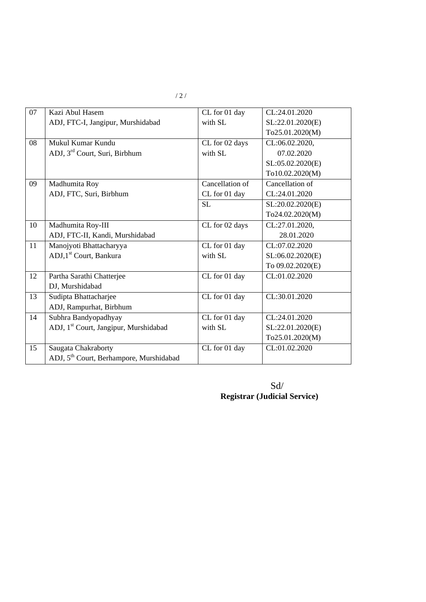| 07 | Kazi Abul Hasem                                     | CL for 01 day   | CL:24.01.2020    |
|----|-----------------------------------------------------|-----------------|------------------|
|    | ADJ, FTC-I, Jangipur, Murshidabad                   | with SL         | SL:22.01.2020(E) |
|    |                                                     |                 | To25.01.2020(M)  |
| 08 | Mukul Kumar Kundu                                   | CL for 02 days  | CL:06.02.2020,   |
|    | ADJ, 3 <sup>rd</sup> Court, Suri, Birbhum           | with SL         | 07.02.2020       |
|    |                                                     |                 | SL:05.02.2020(E) |
|    |                                                     |                 | To10.02.2020(M)  |
| 09 | Madhumita Roy                                       | Cancellation of | Cancellation of  |
|    | ADJ, FTC, Suri, Birbhum                             | CL for 01 day   | CL:24.01.2020    |
|    |                                                     | <b>SL</b>       | SL:20.02.2020(E) |
|    |                                                     |                 | To24.02.2020(M)  |
| 10 | Madhumita Roy-III                                   | CL for 02 days  | CL:27.01.2020,   |
|    | ADJ, FTC-II, Kandi, Murshidabad                     |                 | 28.01.2020       |
| 11 | Manojyoti Bhattacharyya                             | CL for 01 day   | CL:07.02.2020    |
|    | ADJ,1 <sup>st</sup> Court, Bankura                  | with SL         | SL:06.02.2020(E) |
|    |                                                     |                 | To 09.02.2020(E) |
| 12 | Partha Sarathi Chatterjee                           | CL for 01 day   | CL:01.02.2020    |
|    | DJ, Murshidabad                                     |                 |                  |
| 13 | Sudipta Bhattacharjee                               | CL for 01 day   | CL:30.01.2020    |
|    | ADJ, Rampurhat, Birbhum                             |                 |                  |
| 14 | Subhra Bandyopadhyay                                | CL for 01 day   | CL:24.01.2020    |
|    | ADJ, 1 <sup>st</sup> Court, Jangipur, Murshidabad   | with SL         | SL:22.01.2020(E) |
|    |                                                     |                 | To25.01.2020(M)  |
| 15 | Saugata Chakraborty                                 | CL for 01 day   | CL:01.02.2020    |
|    | ADJ, 5 <sup>th</sup> Court, Berhampore, Murshidabad |                 |                  |

 Sd/ **Registrar (Judicial Service)**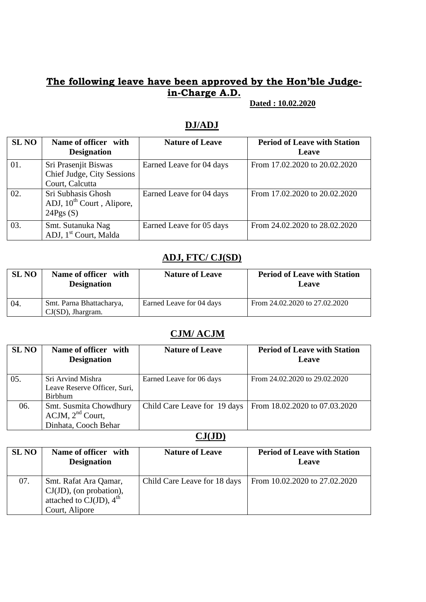### **The following leave have been approved by the Hon'ble Judgein-Charge A.D.**

 **Dated : 10.02.2020** 

| <b>SL NO</b> | Name of officer with<br><b>Designation</b>                              | <b>Nature of Leave</b>   | <b>Period of Leave with Station</b><br>Leave |
|--------------|-------------------------------------------------------------------------|--------------------------|----------------------------------------------|
| 01.          | Sri Prasenjit Biswas<br>Chief Judge, City Sessions<br>Court, Calcutta   | Earned Leave for 04 days | From 17.02.2020 to 20.02.2020                |
| 02.          | Sri Subhasis Ghosh<br>ADJ, 10 <sup>th</sup> Court, Alipore,<br>24Pgs(S) | Earned Leave for 04 days | From 17.02.2020 to 20.02.2020                |
| 03.          | Smt. Sutanuka Nag<br>ADJ, 1 <sup>st</sup> Court, Malda                  | Earned Leave for 05 days | From 24.02.2020 to 28.02.2020                |

### **DJ/ADJ**

#### **ADJ, FTC/ CJ(SD)**

| <b>SL NO</b> | Name of officer with<br><b>Designation</b>       | <b>Nature of Leave</b>   | <b>Period of Leave with Station</b><br>Leave |
|--------------|--------------------------------------------------|--------------------------|----------------------------------------------|
| 04.          | Smt. Parna Bhattacharya,<br>$CJ(SD)$ , Jhargram. | Earned Leave for 04 days | From 24.02.2020 to 27.02.2020                |

#### **CJM/ ACJM**

| <b>SL NO</b> | Name of officer with<br><b>Designation</b>                              | <b>Nature of Leave</b>       | <b>Period of Leave with Station</b><br>Leave |
|--------------|-------------------------------------------------------------------------|------------------------------|----------------------------------------------|
| 05.          | Sri Arvind Mishra<br>Leave Reserve Officer, Suri,<br><b>Birbhum</b>     | Earned Leave for 06 days     | From 24.02.2020 to 29.02.2020                |
| 06.          | Smt. Susmita Chowdhury<br>$ACJM$ , $2nd$ Court,<br>Dinhata, Cooch Behar | Child Care Leave for 19 days | From 18.02.2020 to 07.03.2020                |

#### **CJ(JD)**

| <b>SL NO</b> | Name of officer with<br><b>Designation</b>                                                                | <b>Nature of Leave</b>       | <b>Period of Leave with Station</b><br>Leave |
|--------------|-----------------------------------------------------------------------------------------------------------|------------------------------|----------------------------------------------|
| 07.          | Smt. Rafat Ara Qamar,<br>CJ(JD), (on probation),<br>attached to CJ(JD), $4^{\text{th}}$<br>Court, Alipore | Child Care Leave for 18 days | From 10.02.2020 to 27.02.2020                |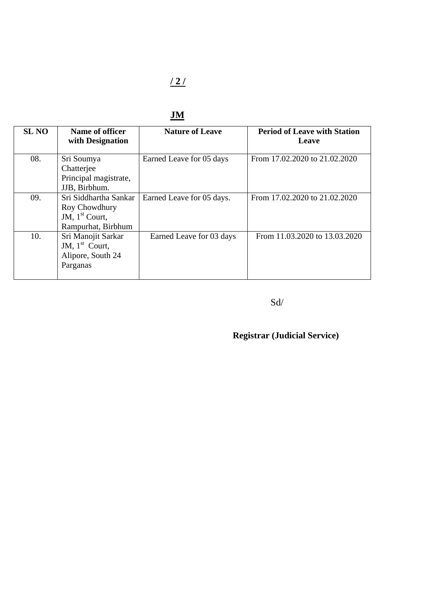## $\frac{121}{2}$

| <b>SL NO</b> | Name of officer<br>with Designation                                              | <b>Nature of Leave</b>    | <b>Period of Leave with Station</b><br>Leave |
|--------------|----------------------------------------------------------------------------------|---------------------------|----------------------------------------------|
| 08.          | Sri Soumya<br>Chatterjee<br>Principal magistrate,<br>JJB, Birbhum.               | Earned Leave for 05 days  | From 17.02.2020 to 21.02.2020                |
| 09.          | Sri Siddhartha Sankar<br>Roy Chowdhury<br>JM, $1st$ Court,<br>Rampurhat, Birbhum | Earned Leave for 05 days. | From 17.02.2020 to 21.02.2020                |
| 10.          | Sri Manojit Sarkar<br>JM, $1st$ Court,<br>Alipore, South 24<br>Parganas          | Earned Leave for 03 days  | From 11.03.2020 to 13.03.2020                |

#### Sd/

# **Registrar (Judicial Service)**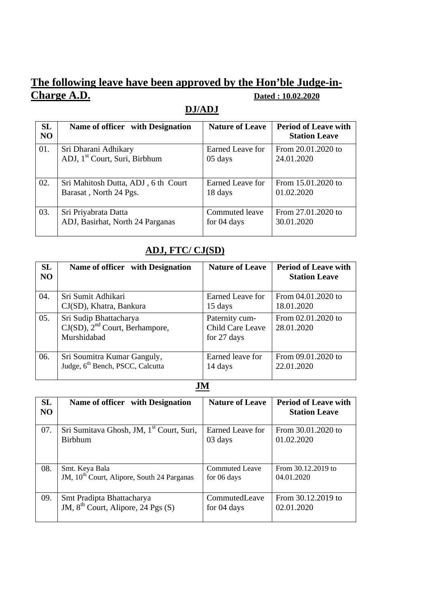## **The following leave have been approved by the Hon'ble Judge-in-Charge A.D. Dated : 10.02.2020**

### **DJ/ADJ**

| <b>SL</b><br>N <sub>O</sub> | Name of officer with Designation          | <b>Nature of Leave</b> | <b>Period of Leave with</b><br><b>Station Leave</b> |
|-----------------------------|-------------------------------------------|------------------------|-----------------------------------------------------|
| 01.                         | Sri Dharani Adhikary                      | Earned Leave for       | From 20.01.2020 to                                  |
|                             | ADJ, 1 <sup>st</sup> Court, Suri, Birbhum | 05 days                | 24.01.2020                                          |
| 02.                         | Sri Mahitosh Dutta, ADJ, 6th Court        | Earned Leave for       | From 15.01.2020 to                                  |
|                             | Barasat, North 24 Pgs.                    | 18 days                | 01.02.2020                                          |
| 03.                         | Sri Priyabrata Datta                      | Commuted leave         | From 27.01.2020 to                                  |
|                             | ADJ, Basirhat, North 24 Parganas          | for 04 days            | 30.01.2020                                          |

### **ADJ, FTC/ CJ(SD)**

| <b>SL</b><br>N <sub>O</sub> | Name of officer with Designation                                             | <b>Nature of Leave</b>                            | <b>Period of Leave with</b><br><b>Station Leave</b> |
|-----------------------------|------------------------------------------------------------------------------|---------------------------------------------------|-----------------------------------------------------|
| 04.                         | Sri Sumit Adhikari                                                           | Earned Leave for                                  | From 04.01.2020 to                                  |
|                             | CJ(SD), Khatra, Bankura                                                      | 15 days                                           | 18.01.2020                                          |
| 05.                         | Sri Sudip Bhattacharya<br>$CJ(SD)$ , $2nd$ Court, Berhampore,<br>Murshidabad | Paternity cum-<br>Child Care Leave<br>for 27 days | From 02.01.2020 to<br>28.01.2020                    |
| 06.                         | Sri Soumitra Kumar Ganguly,                                                  | Earned leave for                                  | From 09.01.2020 to                                  |
|                             | Judge, 6 <sup>th</sup> Bench, PSCC, Calcutta                                 | 14 days                                           | 22.01.2020                                          |

#### **JM**

| <b>SL</b><br><b>NO</b> | Name of officer with Designation                       | <b>Nature of Leave</b> | <b>Period of Leave with</b><br><b>Station Leave</b> |
|------------------------|--------------------------------------------------------|------------------------|-----------------------------------------------------|
| 07.                    | Sri Sumitava Ghosh, JM, 1 <sup>st</sup> Court, Suri,   | Earned Leave for       | From 30.01.2020 to                                  |
|                        | <b>Birbhum</b>                                         | 03 days                | 01.02.2020                                          |
| 08.                    | Smt. Keya Bala                                         | Commuted Leave         | From 30.12.2019 to                                  |
|                        | JM, 10 <sup>th</sup> Court, Alipore, South 24 Parganas | for 06 days            | 04.01.2020                                          |
| 09.                    | Smt Pradipta Bhattacharya                              | CommutedLeave          | From 30.12.2019 to                                  |
|                        | JM, 8 <sup>th</sup> Court, Alipore, 24 Pgs (S)         | for 04 days            | 02.01.2020                                          |